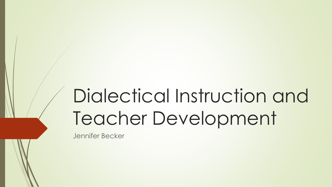# Dialectical Instruction and Teacher Development

Jennifer Becker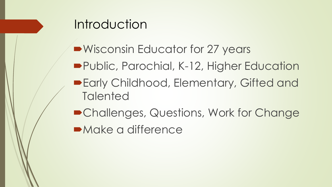

- ■Wisconsin Educator for 27 years
- **Public, Parochial, K-12, Higher Education**
- **Early Childhood, Elementary, Gifted and Talented**
- Challenges, Questions, Work for Change
- **•Make a difference**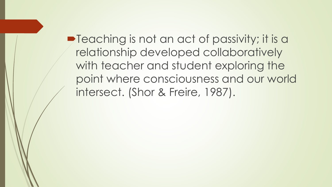**P**Teaching is not an act of passivity; it is a relationship developed collaboratively with teacher and student exploring the point where consciousness and our world intersect. (Shor & Freire, 1987).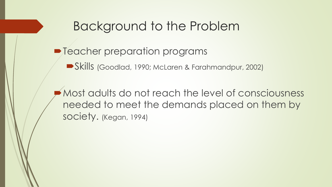#### Background to the Problem

#### $\blacksquare$  Teacher preparation programs

Skills (Goodlad, 1990; McLaren & Farahmandpur, 2002)

Most adults do not reach the level of consciousness needed to meet the demands placed on them by society. (Kegan, 1994)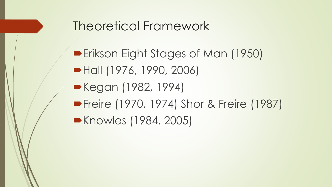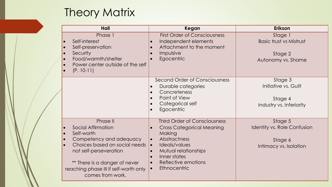#### **Theory Matrix**

| Hall                                                                                                                                                                                                                                    | Kegan                                                                                                                                                                                                                                                                                  | <b>Erikson</b>                                                                     |
|-----------------------------------------------------------------------------------------------------------------------------------------------------------------------------------------------------------------------------------------|----------------------------------------------------------------------------------------------------------------------------------------------------------------------------------------------------------------------------------------------------------------------------------------|------------------------------------------------------------------------------------|
| Phase 1<br>Self-interest<br>Self-preservation<br><b>Security</b><br>Food/warmth/shelter<br>Power center outside of the self<br>$(P. 10-11)$                                                                                             | <b>First Order of Consciousness</b><br>Independent elements<br>$\bullet$<br>Attachment to the moment<br>$\bullet$<br>Impulsive<br>Egocentric                                                                                                                                           | Stage 1<br><b>Basic trust vs Mistrust</b><br>Stage 2<br>Autonomy vs. Shame         |
|                                                                                                                                                                                                                                         | Second Order of Consciousness<br>Durable categories<br>Concreteness<br>$\bullet$<br>Point of View<br>$\bullet$<br>Categorical self<br>$\bullet$<br>Egocentric<br>$\bullet$                                                                                                             | Stage 3<br>Initiative vs. Guilt<br>Stage 4<br>Industry vs. Inferiority             |
| Phase II<br><b>Social Affirmation</b><br>Self-worth<br>Competency and adequacy<br>Choices based on social needs<br>not self-perseveration<br>** There is a danger of never<br>reaching phase III if self-worth only<br>comes from work. | <b>Third Order of Consciousness</b><br><b>Cross Categorical Meaning</b><br>$\bullet$<br>Making<br>Abstractness<br>$\bullet$<br>Ideals/values<br>$\bullet$<br>Mutual relationships<br>Inner states<br>$\bullet$<br>Reflective emotions<br>$\bullet$<br><b>Ethnocentric</b><br>$\bullet$ | Stage 5<br><b>Identity vs. Role Confusion</b><br>Stage 6<br>Intimacy vs. Isolation |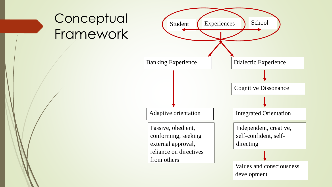# **Conceptual** Framework

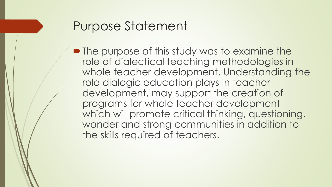#### Purpose Statement

• The purpose of this study was to examine the role of dialectical teaching methodologies in whole teacher development. Understanding the role dialogic education plays in teacher development, may support the creation of programs for whole teacher development which will promote critical thinking, questioning, wonder and strong communities in addition to the skills required of teachers.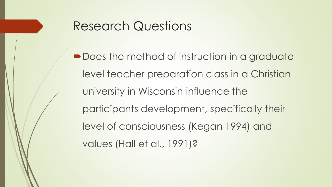#### Research Questions

■ Does the method of instruction in a graduate level teacher preparation class in a Christian university in Wisconsin influence the participants development, specifically their level of consciousness (Kegan 1994) and values (Hall et al., 1991)?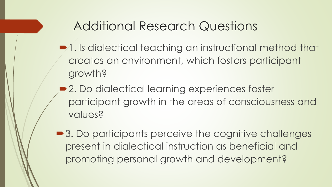#### Additional Research Questions

- $\blacksquare$ 1. Is dialectical teaching an instructional method that creates an environment, which fosters participant growth?
- 2. Do dialectical learning experiences foster participant growth in the areas of consciousness and values?
- 3. Do participants perceive the cognitive challenges present in dialectical instruction as beneficial and promoting personal growth and development?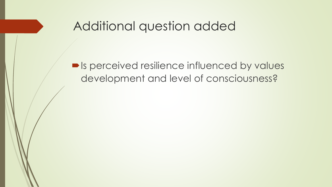#### Additional question added

 $\blacksquare$  Is perceived resilience influenced by values development and level of consciousness?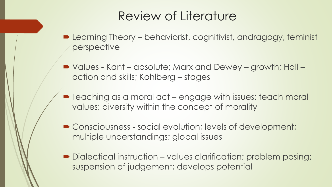#### Review of Literature

- Learning Theory behaviorist, cognitivist, andragogy, feminist perspective
- Values Kant absolute; Marx and Dewey growth; Hall action and skills; Kohlberg – stages
- Teaching as a moral act engage with issues; teach moral values; diversity within the concept of morality
- Consciousness social evolution; levels of development; multiple understandings; global issues
- Dialectical instruction values clarification; problem posing; suspension of judgement; develops potential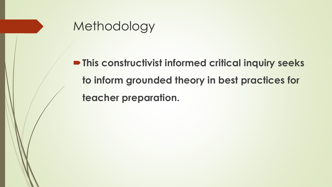

**P** This constructivist informed critical inquiry seeks **to inform grounded theory in best practices for teacher preparation.**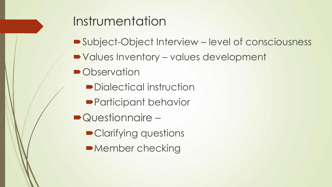#### Instrumentation

- Subject-Object Interview level of consciousness
- Values Inventory values development
- Observation
	- Dialectical instruction
	- ■Participant behavior
- Questionnaire
	- Clarifying questions
	- ■Member checking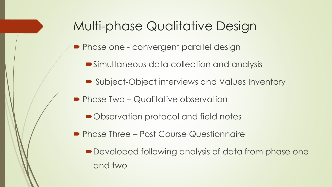#### Multi-phase Qualitative Design

- **Phase one convergent parallel design** 
	- Simultaneous data collection and analysis
	- Subject-Object interviews and Values Inventory
- **Phase Two Qualitative observation** 
	- ■Observation protocol and field notes
- **Phase Three Post Course Questionnaire** 
	- Developed following analysis of data from phase one and two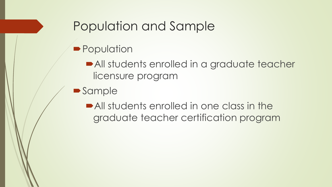#### Population and Sample

- **Population** 
	- All students enrolled in a graduate teacher licensure program
- **Sample** 
	- All students enrolled in one class in the graduate teacher certification program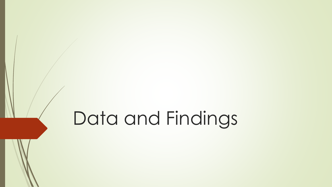# Data and Findings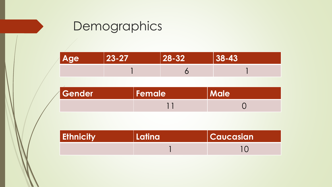# **Demographics**

| <b>Age</b> | $ 23 - 27 $ | $ 28 - 32 $ | $38 - 43$ |
|------------|-------------|-------------|-----------|
|            |             |             |           |

| Gender | Female | <b>Male</b> |
|--------|--------|-------------|
|        |        |             |

| <b>Ethnicity</b> | <b>Latina</b> | <b>Caucasian</b> |
|------------------|---------------|------------------|
|                  |               |                  |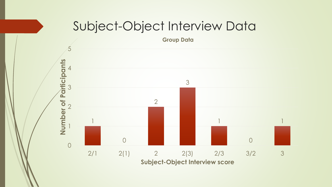#### Subject-Object Interview Data

**Group Data**

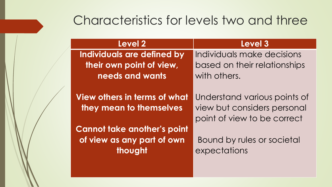#### Characteristics for levels two and three

| <b>Level 2</b>                                                              | Level 3                                                                                    |
|-----------------------------------------------------------------------------|--------------------------------------------------------------------------------------------|
| Individuals are defined by                                                  | Individuals make decisions                                                                 |
| their own point of view,                                                    | based on their relationships                                                               |
| needs and wants                                                             | with others.                                                                               |
| View others in terms of what<br>they mean to themselves                     | Understand various points of<br>view but considers personal<br>point of view to be correct |
| <b>Cannot take another's point</b><br>of view as any part of own<br>thought | Bound by rules or societal<br>expectations                                                 |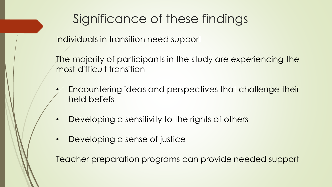# Significance of these findings

Individuals in transition need support

The majority of participants in the study are experiencing the most difficult transition

- Encountering ideas and perspectives that challenge their held beliefs
- Developing a sensitivity to the rights of others
- Developing a sense of justice

Teacher preparation programs can provide needed support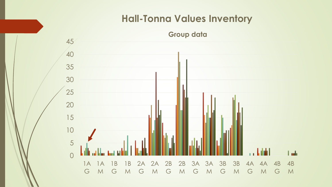#### **Hall-Tonna Values Inventory**

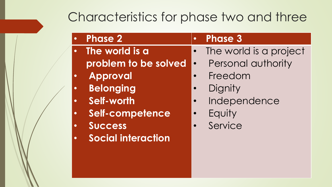#### Characteristics for phase two and three

| <b>Phase 2</b>               | <b>Phase 3</b><br>$\bullet$         |
|------------------------------|-------------------------------------|
| The world is a<br>$\bullet$  | The world is a project<br>$\bullet$ |
| problem to be solved         | Personal authority<br>$\bullet$     |
| <b>Approval</b><br>$\bullet$ | Freedom                             |
| <b>Belonging</b>             | Dignity                             |
| Self-worth<br>$\bullet$      | Independence                        |
| Self-competence<br>$\bullet$ | Equity<br>$\bullet$                 |
| <b>Success</b><br>$\bullet$  | Service                             |
| <b>Social interaction</b>    |                                     |
|                              |                                     |
|                              |                                     |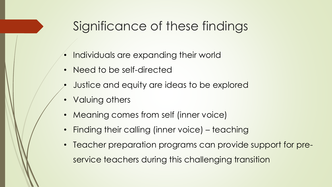### Significance of these findings

- Individuals are expanding their world
- Need to be self-directed
- Justice and equity are ideas to be explored
- Valuing others
- Meaning comes from self (inner voice)
- Finding their calling (inner voice) teaching
- Teacher preparation programs can provide support for preservice teachers during this challenging transition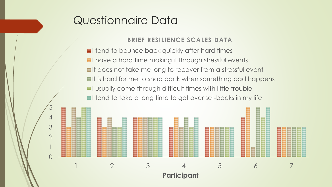#### Questionnaire Data

0

1

2

3

4

5

#### **BRIEF RESILIENCE SCALES DATA**

**■I tend to bounce back quickly after hard times**  $\blacksquare$ I have a hard time making it through stressful events It does not take me long to recover from a stressful event It is hard for me to snap back when something bad happens **I** usually come through difficult times with little trouble  $\blacksquare$ I tend to take a long time to get over set-backs in my life

1 2 3 4 5 6 7

**Participant**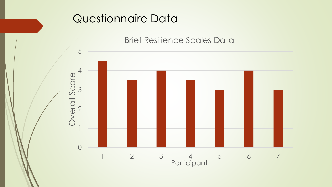#### Questionnaire Data



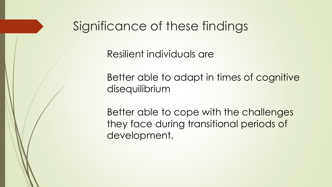#### Significance of these findings

Resilient individuals are

Better able to adapt in times of cognitive disequilibrium

Better able to cope with the challenges they face during transitional periods of development.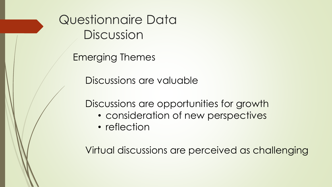Questionnaire Data **Discussion** 

Emerging Themes

Discussions are valuable

Discussions are opportunities for growth

- consideration of new perspectives
- reflection

Virtual discussions are perceived as challenging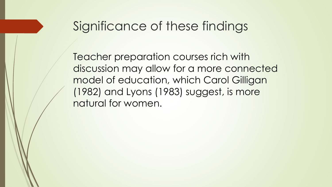#### Significance of these findings

Teacher preparation courses rich with discussion may allow for a more connected model of education, which Carol Gilligan (1982) and Lyons (1983) suggest, is more natural for women.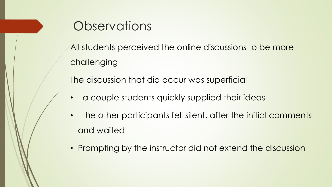

- the other participants fell silent, after the initial comments and waited
- Prompting by the instructor did not extend the discussion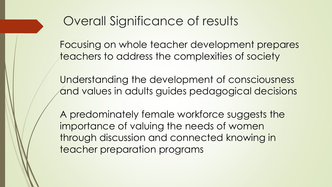### Overall Significance of results

Focusing on whole teacher development prepares teachers to address the complexities of society

Understanding the development of consciousness and values in adults guides pedagogical decisions

A predominately female workforce suggests the importance of valuing the needs of women through discussion and connected knowing in teacher preparation programs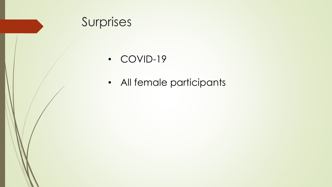

• COVID-19

• All female participants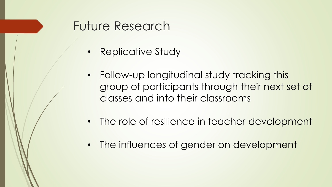#### Future Research

- Replicative Study
- Follow-up longitudinal study tracking this group of participants through their next set of classes and into their classrooms
- The role of resilience in teacher development
- The influences of gender on development